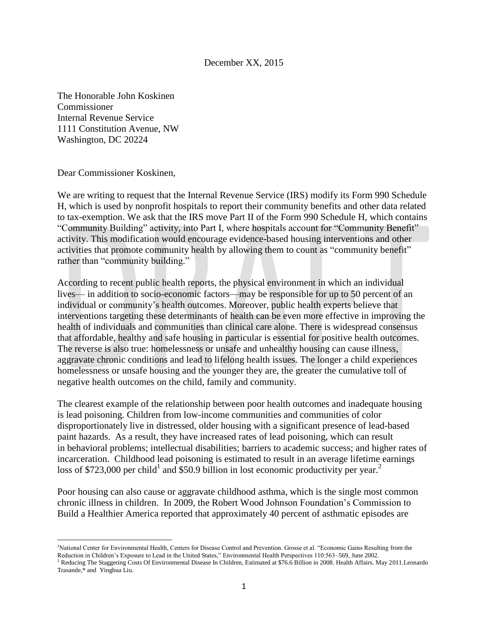## December XX, 2015

The Honorable John Koskinen Commissioner Internal Revenue Service 1111 Constitution Avenue, NW Washington, DC 20224

Dear Commissioner Koskinen,

 $\overline{a}$ 

We are writing to request that the Internal Revenue Service (IRS) modify its Form 990 Schedule H, which is used by nonprofit hospitals to report their community benefits and other data related to tax-exemption. We ask that the IRS move Part II of the Form 990 Schedule H, which contains "Community Building" activity, into Part I, where hospitals account for "Community Benefit" activity. This modification would encourage evidence-based housing interventions and other activities that promote community health by allowing them to count as "community benefit" rather than "community building."

According to recent public health reports, the physical environment in which an individual lives— in addition to socio-economic factors—may be responsible for up to 50 percent of an individual or community's health outcomes. Moreover, public health experts believe that interventions targeting these determinants of health can be even more effective in improving the health of individuals and communities than clinical care alone. There is widespread consensus that affordable, healthy and safe housing in particular is essential for positive health outcomes. The reverse is also true: homelessness or unsafe and unhealthy housing can cause illness, aggravate chronic conditions and lead to lifelong health issues. The longer a child experiences homelessness or unsafe housing and the younger they are, the greater the cumulative toll of negative health outcomes on the child, family and community.

The clearest example of the relationship between poor health outcomes and inadequate housing is lead poisoning. Children from low-income communities and communities of color disproportionately live in distressed, older housing with a significant presence of lead-based paint hazards. As a result, they have increased rates of lead poisoning, which can result in behavioral problems; intellectual disabilities; barriers to academic success; and higher rates of incarceration. Childhood lead poisoning is estimated to result in an average lifetime earnings loss of \$723,000 per child<sup>1</sup> and \$50.9 billion in lost economic productivity per year.<sup>2</sup>

Poor housing can also cause or aggravate childhood asthma, which is the single most common chronic illness in children. In 2009, the Robert Wood Johnson Foundation's Commission to Build a Healthier America reported that approximately 40 percent of asthmatic episodes are

<sup>1</sup>National Center for Environmental Health, Centers for Disease Control and Prevention. Grosse et al. "Economic Gains Resulting from the Reduction in Children's Exposure to Lead in the United States," Environmental Health Perspectives 110:563–569, June 2002.

<sup>&</sup>lt;sup>2</sup> Reducing The Staggering Costs Of Environmental Disease In Children, Estimated at \$76.6 Billion in 2008. Health Affairs. May 2011.Leonardo Trasande,\* and Yinghua Liu.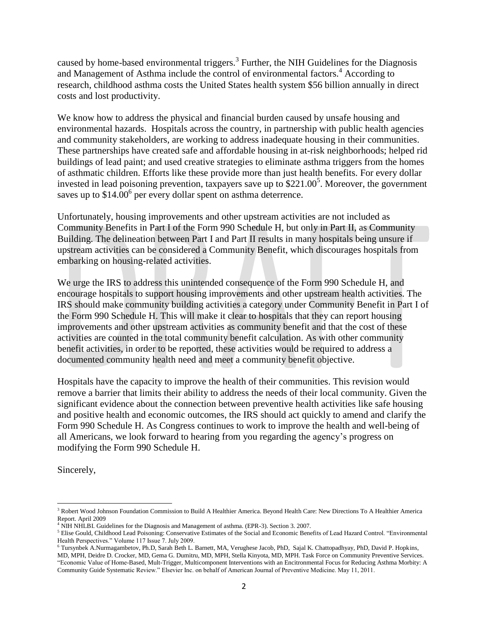caused by home-based environmental triggers.<sup>3</sup> Further, the NIH Guidelines for the Diagnosis and Management of Asthma include the control of environmental factors.<sup>4</sup> According to research, childhood asthma costs the United States health system \$56 billion annually in direct costs and lost productivity.

We know how to address the physical and financial burden caused by unsafe housing and environmental hazards. Hospitals across the country, in partnership with public health agencies and community stakeholders, are working to address inadequate housing in their communities. These partnerships have created safe and affordable housing in at-risk neighborhoods; helped rid buildings of lead paint; and used creative strategies to eliminate asthma triggers from the homes of asthmatic children. Efforts like these provide more than just health benefits. For every dollar invested in lead poisoning prevention, taxpayers save up to  $$221.00<sup>5</sup>$ . Moreover, the government saves up to  $$14.00^6$  per every dollar spent on asthma deterrence.

Unfortunately, housing improvements and other upstream activities are not included as Community Benefits in Part I of the Form 990 Schedule H, but only in Part II, as Community Building. The delineation between Part I and Part II results in many hospitals being unsure if upstream activities can be considered a Community Benefit, which discourages hospitals from embarking on housing-related activities.

We urge the IRS to address this unintended consequence of the Form 990 Schedule H, and encourage hospitals to support housing improvements and other upstream health activities. The IRS should make community building activities a category under Community Benefit in Part I of the Form 990 Schedule H. This will make it clear to hospitals that they can report housing improvements and other upstream activities as community benefit and that the cost of these activities are counted in the total community benefit calculation. As with other community benefit activities, in order to be reported, these activities would be required to address a documented community health need and meet a community benefit objective.

Hospitals have the capacity to improve the health of their communities. This revision would remove a barrier that limits their ability to address the needs of their local community. Given the significant evidence about the connection between preventive health activities like safe housing and positive health and economic outcomes, the IRS should act quickly to amend and clarify the Form 990 Schedule H. As Congress continues to work to improve the health and well-being of all Americans, we look forward to hearing from you regarding the agency's progress on modifying the Form 990 Schedule H.

Sincerely,

 $\overline{\phantom{a}}$ <sup>3</sup> Robert Wood Johnson Foundation Commission to Build A Healthier America. Beyond Health Care: New Directions To A Healthier America Report. April 2009

NIH NHLBI. Guidelines for the Diagnosis and Management of asthma. (EPR-3). Section 3. 2007.

<sup>5</sup> Elise Gould, Childhood Lead Poisoning: Conservative Estimates of the Social and Economic Benefits of Lead Hazard Control. "Environmental Health Perspectives." Volume 117 Issue 7. July 2009.

<sup>&</sup>lt;sup>6</sup> Tursynbek A.Nurmagambetov, Ph.D, Sarah Beth L. Barnett, MA, Verughese Jacob, PhD, Sajal K. Chattopadhyay, PhD, David P. Hopkins, MD, MPH, Deidre D. Crocker, MD, Gema G. Dumitru, MD, MPH, Stella Kinyota, MD, MPH. Task Force on Community Preventive Services. "Economic Value of Home-Based, Mult-Trigger, Multicomponent Interventions with an Encitronmental Focus for Reducing Asthma Morbity: A Community Guide Systematic Review." Elsevier Inc. on behalf of American Journal of Preventive Medicine. May 11, 2011.